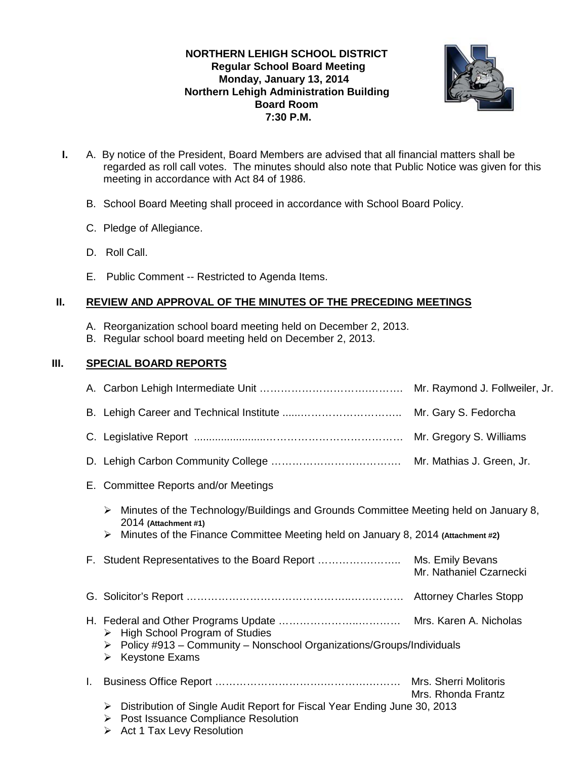# **NORTHERN LEHIGH SCHOOL DISTRICT Regular School Board Meeting Monday, January 13, 2014 Northern Lehigh Administration Building Board Room 7:30 P.M.**



- **I.** A. By notice of the President, Board Members are advised that all financial matters shall be regarded as roll call votes. The minutes should also note that Public Notice was given for this meeting in accordance with Act 84 of 1986.
	- B. School Board Meeting shall proceed in accordance with School Board Policy.
	- C. Pledge of Allegiance.
	- D. Roll Call.
	- E. Public Comment -- Restricted to Agenda Items.

## **II. REVIEW AND APPROVAL OF THE MINUTES OF THE PRECEDING MEETINGS**

- A. Reorganization school board meeting held on December 2, 2013.
- B. Regular school board meeting held on December 2, 2013.

# **III. SPECIAL BOARD REPORTS**

|    |                                                                                                                                                                                                            | Mr. Raymond J. Follweiler, Jr.              |  |  |
|----|------------------------------------------------------------------------------------------------------------------------------------------------------------------------------------------------------------|---------------------------------------------|--|--|
|    |                                                                                                                                                                                                            | Mr. Gary S. Fedorcha                        |  |  |
|    |                                                                                                                                                                                                            |                                             |  |  |
|    |                                                                                                                                                                                                            |                                             |  |  |
|    | E. Committee Reports and/or Meetings                                                                                                                                                                       |                                             |  |  |
|    | Minutes of the Technology/Buildings and Grounds Committee Meeting held on January 8,<br>➤<br>2014 (Attachment #1)<br>Minutes of the Finance Committee Meeting held on January 8, 2014 (Attachment #2)<br>➤ |                                             |  |  |
|    |                                                                                                                                                                                                            | Mr. Nathaniel Czarnecki                     |  |  |
|    |                                                                                                                                                                                                            |                                             |  |  |
|    | <b>High School Program of Studies</b><br>➤<br>$\triangleright$ Policy #913 – Community – Nonschool Organizations/Groups/Individuals<br><b>Keystone Exams</b><br>➤                                          |                                             |  |  |
| L. |                                                                                                                                                                                                            | Mrs. Sherri Molitoris<br>Mrs. Rhonda Frantz |  |  |
|    | Distribution of Single Audit Report for Fiscal Year Ending June 30, 2013<br>➤<br>Post Issuance Compliance Resolution<br>➤<br>Act 1 Tax Levy Resolution<br>➤                                                |                                             |  |  |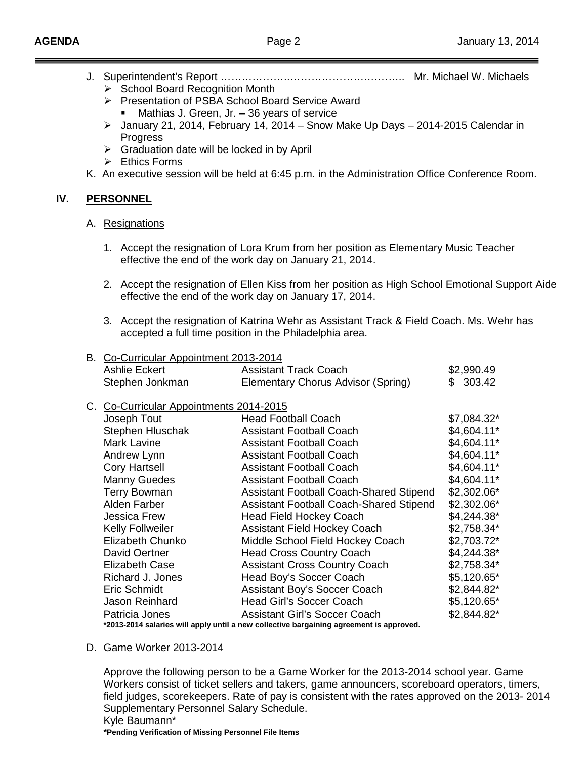- J. Superintendent's Report ………………..………………….……….. Mr. Michael W. Michaels
	- $\triangleright$  School Board Recognition Month
	- ▶ Presentation of PSBA School Board Service Award **Mathias J. Green, Jr. – 36 years of service**
	- $\geq$  January 21, 2014, February 14, 2014 Snow Make Up Days 2014-2015 Calendar in Progress
	- $\triangleright$  Graduation date will be locked in by April
	- $\triangleright$  Ethics Forms
- K. An executive session will be held at 6:45 p.m. in the Administration Office Conference Room.

#### **IV. PERSONNEL**

## A. Resignations

- 1. Accept the resignation of Lora Krum from her position as Elementary Music Teacher effective the end of the work day on January 21, 2014.
- 2. Accept the resignation of Ellen Kiss from her position as High School Emotional Support Aide effective the end of the work day on January 17, 2014.
- 3. Accept the resignation of Katrina Wehr as Assistant Track & Field Coach. Ms. Wehr has accepted a full time position in the Philadelphia area.

## B. Co-Curricular Appointment 2013-2014

| Ashlie Eckert   | <b>Assistant Track Coach</b>       | \$2,990.49 |
|-----------------|------------------------------------|------------|
| Stephen Jonkman | Elementary Chorus Advisor (Spring) | \$303.42   |

## C. Co-Curricular Appointments 2014-2015

| 00 0011100101 / IPPOINTING LOT I LOTO                                                   |  |                                                |              |  |
|-----------------------------------------------------------------------------------------|--|------------------------------------------------|--------------|--|
| Joseph Tout                                                                             |  | <b>Head Football Coach</b>                     | $$7,084.32*$ |  |
| Stephen Hluschak                                                                        |  | <b>Assistant Football Coach</b>                | $$4,604.11*$ |  |
| <b>Mark Lavine</b>                                                                      |  | <b>Assistant Football Coach</b>                | $$4,604.11*$ |  |
| Andrew Lynn                                                                             |  | <b>Assistant Football Coach</b>                | $$4,604.11*$ |  |
| <b>Cory Hartsell</b>                                                                    |  | <b>Assistant Football Coach</b>                | $$4,604.11*$ |  |
| <b>Manny Guedes</b>                                                                     |  | <b>Assistant Football Coach</b>                | $$4,604.11*$ |  |
| <b>Terry Bowman</b>                                                                     |  | <b>Assistant Football Coach-Shared Stipend</b> | $$2,302.06*$ |  |
| Alden Farber                                                                            |  | <b>Assistant Football Coach-Shared Stipend</b> | $$2,302.06*$ |  |
| <b>Jessica Frew</b>                                                                     |  | <b>Head Field Hockey Coach</b>                 | $$4,244.38*$ |  |
| <b>Kelly Follweiler</b>                                                                 |  | <b>Assistant Field Hockey Coach</b>            | $$2,758.34*$ |  |
| Elizabeth Chunko                                                                        |  | Middle School Field Hockey Coach               | $$2,703.72*$ |  |
| David Oertner                                                                           |  | <b>Head Cross Country Coach</b>                | $$4,244.38*$ |  |
| <b>Elizabeth Case</b>                                                                   |  | <b>Assistant Cross Country Coach</b>           | $$2,758.34*$ |  |
| Richard J. Jones                                                                        |  | Head Boy's Soccer Coach                        | $$5,120.65*$ |  |
| Eric Schmidt                                                                            |  | <b>Assistant Boy's Soccer Coach</b>            | $$2,844.82*$ |  |
| Jason Reinhard                                                                          |  | <b>Head Girl's Soccer Coach</b>                | $$5,120.65*$ |  |
| Patricia Jones                                                                          |  | <b>Assistant Girl's Soccer Coach</b>           | $$2,844.82*$ |  |
| *2013-2014 salaries will apply until a new collective bargaining agreement is approved. |  |                                                |              |  |

#### D. Game Worker 2013-2014

Approve the following person to be a Game Worker for the 2013-2014 school year. Game Workers consist of ticket sellers and takers, game announcers, scoreboard operators, timers, field judges, scorekeepers. Rate of pay is consistent with the rates approved on the 2013- 2014 Supplementary Personnel Salary Schedule.

**\*Pending Verification of Missing Personnel File Items**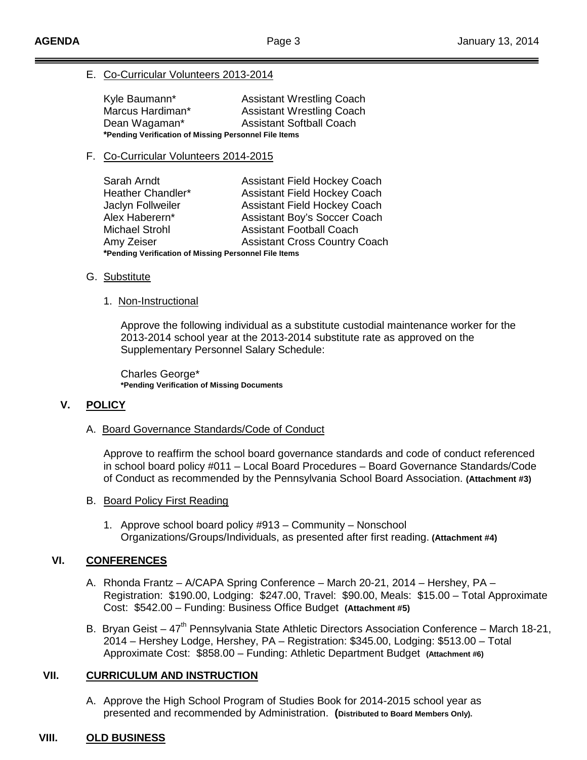## E. Co-Curricular Volunteers 2013-2014

| Kyle Baumann*                                         | <b>Assistant Wrestling Coach</b> |  |  |  |
|-------------------------------------------------------|----------------------------------|--|--|--|
| Marcus Hardiman*                                      | <b>Assistant Wrestling Coach</b> |  |  |  |
| Dean Wagaman*                                         | <b>Assistant Softball Coach</b>  |  |  |  |
| *Pending Verification of Missing Personnel File Items |                                  |  |  |  |

### F. Co-Curricular Volunteers 2014-2015

| Sarah Arndt                                           | <b>Assistant Field Hockey Coach</b>  |  |  |  |
|-------------------------------------------------------|--------------------------------------|--|--|--|
| Heather Chandler*                                     | <b>Assistant Field Hockey Coach</b>  |  |  |  |
| Jaclyn Follweiler                                     | <b>Assistant Field Hockey Coach</b>  |  |  |  |
| Alex Haberern*                                        | Assistant Boy's Soccer Coach         |  |  |  |
| <b>Michael Strohl</b>                                 | <b>Assistant Football Coach</b>      |  |  |  |
| Amy Zeiser                                            | <b>Assistant Cross Country Coach</b> |  |  |  |
| *Pending Verification of Missing Personnel File Items |                                      |  |  |  |

## G. <u>Substitute</u>

#### 1. Non-Instructional

Approve the following individual as a substitute custodial maintenance worker for the 2013-2014 school year at the 2013-2014 substitute rate as approved on the Supplementary Personnel Salary Schedule:

Charles George\* **\*Pending Verification of Missing Documents**

## **V. POLICY**

#### A. Board Governance Standards/Code of Conduct

Approve to reaffirm the school board governance standards and code of conduct referenced in school board policy #011 – Local Board Procedures – Board Governance Standards/Code of Conduct as recommended by the Pennsylvania School Board Association. **(Attachment #3)**

#### B. Board Policy First Reading

1. Approve school board policy #913 – Community – Nonschool Organizations/Groups/Individuals, as presented after first reading. **(Attachment #4)**

## **VI. CONFERENCES**

- A. Rhonda Frantz A/CAPA Spring Conference March 20-21, 2014 Hershey, PA Registration: \$190.00, Lodging: \$247.00, Travel: \$90.00, Meals: \$15.00 – Total Approximate Cost: \$542.00 – Funding: Business Office Budget **(Attachment #5)**
- B. Bryan Geist  $47<sup>th</sup>$  Pennsylvania State Athletic Directors Association Conference March 18-21, 2014 – Hershey Lodge, Hershey, PA – Registration: \$345.00, Lodging: \$513.00 – Total Approximate Cost: \$858.00 – Funding: Athletic Department Budget **(Attachment #6)**

## **VII. CURRICULUM AND INSTRUCTION**

A. Approve the High School Program of Studies Book for 2014-2015 school year as presented and recommended by Administration. **(Distributed to Board Members Only).** 

## **VIII. OLD BUSINESS**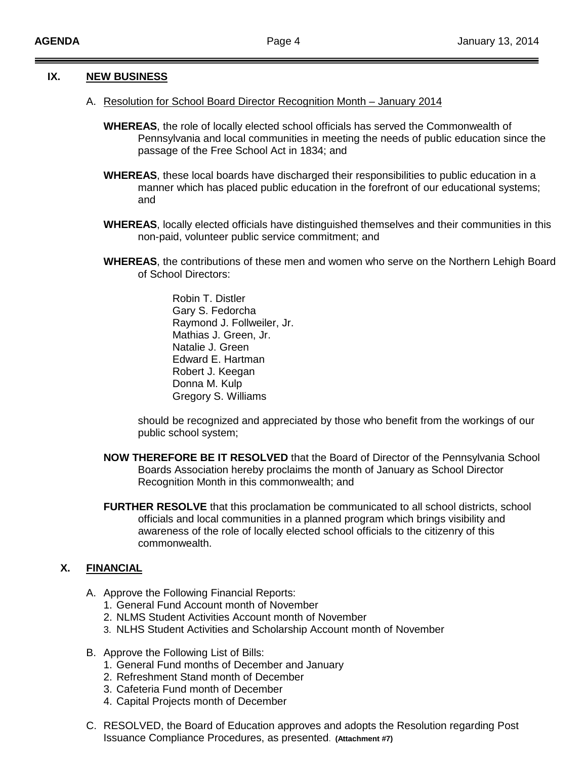### **IX. NEW BUSINESS**

- A. Resolution for School Board Director Recognition Month January 2014
	- **WHEREAS**, the role of locally elected school officials has served the Commonwealth of Pennsylvania and local communities in meeting the needs of public education since the passage of the Free School Act in 1834; and
	- **WHEREAS**, these local boards have discharged their responsibilities to public education in a manner which has placed public education in the forefront of our educational systems; and
	- **WHEREAS**, locally elected officials have distinguished themselves and their communities in this non-paid, volunteer public service commitment; and
	- **WHEREAS**, the contributions of these men and women who serve on the Northern Lehigh Board of School Directors:
		- Robin T. Distler Gary S. Fedorcha Raymond J. Follweiler, Jr. Mathias J. Green, Jr. Natalie J. Green Edward E. Hartman Robert J. Keegan Donna M. Kulp Gregory S. Williams

should be recognized and appreciated by those who benefit from the workings of our public school system;

- **NOW THEREFORE BE IT RESOLVED** that the Board of Director of the Pennsylvania School Boards Association hereby proclaims the month of January as School Director Recognition Month in this commonwealth; and
- **FURTHER RESOLVE** that this proclamation be communicated to all school districts, school officials and local communities in a planned program which brings visibility and awareness of the role of locally elected school officials to the citizenry of this commonwealth.

## **X. FINANCIAL**

- A. Approve the Following Financial Reports:
	- 1. General Fund Account month of November
	- 2. NLMS Student Activities Account month of November
	- 3. NLHS Student Activities and Scholarship Account month of November
- B. Approve the Following List of Bills:
	- 1. General Fund months of December and January
	- 2. Refreshment Stand month of December
	- 3. Cafeteria Fund month of December
	- 4. Capital Projects month of December
- C. RESOLVED, the Board of Education approves and adopts the Resolution regarding Post Issuance Compliance Procedures, as presented. **(Attachment #7)**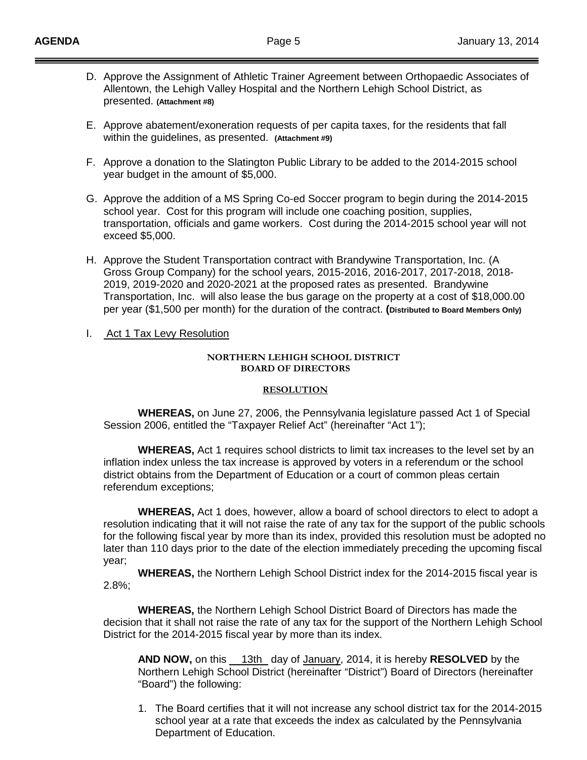- D. Approve the Assignment of Athletic Trainer Agreement between Orthopaedic Associates of Allentown, the Lehigh Valley Hospital and the Northern Lehigh School District, as presented. **(Attachment #8)**
- E. Approve abatement/exoneration requests of per capita taxes, for the residents that fall within the guidelines, as presented. **(Attachment #9)**
- F. Approve a donation to the Slatington Public Library to be added to the 2014-2015 school year budget in the amount of \$5,000.
- G. Approve the addition of a MS Spring Co-ed Soccer program to begin during the 2014-2015 school year. Cost for this program will include one coaching position, supplies, transportation, officials and game workers. Cost during the 2014-2015 school year will not exceed \$5,000.
- H. Approve the Student Transportation contract with Brandywine Transportation, Inc. (A Gross Group Company) for the school years, 2015-2016, 2016-2017, 2017-2018, 2018- 2019, 2019-2020 and 2020-2021 at the proposed rates as presented. Brandywine Transportation, Inc. will also lease the bus garage on the property at a cost of \$18,000.00 per year (\$1,500 per month) for the duration of the contract. **(Distributed to Board Members Only)**

#### I. Act 1 Tax Levy Resolution

#### **NORTHERN LEHIGH SCHOOL DISTRICT BOARD OF DIRECTORS**

#### **RESOLUTION**

**WHEREAS,** on June 27, 2006, the Pennsylvania legislature passed Act 1 of Special Session 2006, entitled the "Taxpayer Relief Act" (hereinafter "Act 1");

**WHEREAS,** Act 1 requires school districts to limit tax increases to the level set by an inflation index unless the tax increase is approved by voters in a referendum or the school district obtains from the Department of Education or a court of common pleas certain referendum exceptions;

**WHEREAS,** Act 1 does, however, allow a board of school directors to elect to adopt a resolution indicating that it will not raise the rate of any tax for the support of the public schools for the following fiscal year by more than its index, provided this resolution must be adopted no later than 110 days prior to the date of the election immediately preceding the upcoming fiscal year;

**WHEREAS,** the Northern Lehigh School District index for the 2014-2015 fiscal year is 2.8%;

**WHEREAS,** the Northern Lehigh School District Board of Directors has made the decision that it shall not raise the rate of any tax for the support of the Northern Lehigh School District for the 2014-2015 fiscal year by more than its index.

**AND NOW,** on this 13th day of January, 2014, it is hereby **RESOLVED** by the Northern Lehigh School District (hereinafter "District") Board of Directors (hereinafter "Board") the following:

1. The Board certifies that it will not increase any school district tax for the 2014-2015 school year at a rate that exceeds the index as calculated by the Pennsylvania Department of Education.